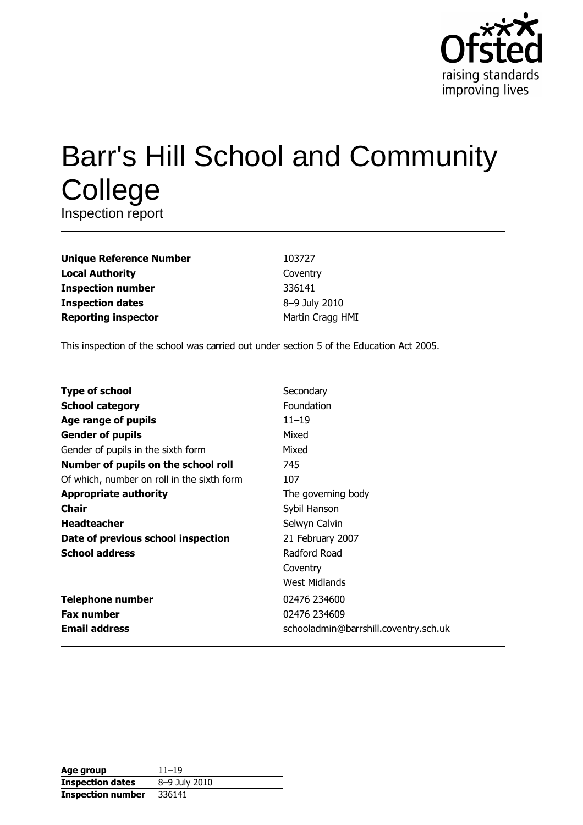

# **Barr's Hill School and Community** College

Inspection report

| <b>Unique Reference Number</b> |
|--------------------------------|
| <b>Local Authority</b>         |
| <b>Inspection number</b>       |
| <b>Inspection dates</b>        |
| <b>Reporting inspector</b>     |

103727 Coventry 336141 8-9 July 2010 Martin Cragg HMI

This inspection of the school was carried out under section 5 of the Education Act 2005.

| <b>Type of school</b>                      | Secondary                             |
|--------------------------------------------|---------------------------------------|
|                                            |                                       |
| <b>School category</b>                     | Foundation                            |
| Age range of pupils                        | $11 - 19$                             |
| <b>Gender of pupils</b>                    | Mixed                                 |
| Gender of pupils in the sixth form         | Mixed                                 |
| Number of pupils on the school roll        | 745                                   |
| Of which, number on roll in the sixth form | 107                                   |
| <b>Appropriate authority</b>               | The governing body                    |
| <b>Chair</b>                               | Sybil Hanson                          |
| <b>Headteacher</b>                         | Selwyn Calvin                         |
| Date of previous school inspection         | 21 February 2007                      |
| <b>School address</b>                      | Radford Road                          |
|                                            | Coventry                              |
|                                            | West Midlands                         |
| <b>Telephone number</b>                    | 02476 234600                          |
| <b>Fax number</b>                          | 02476 234609                          |
| <b>Email address</b>                       | schooladmin@barrshill.coventry.sch.uk |

| Age group                | $11 - 19$     |
|--------------------------|---------------|
| <b>Inspection dates</b>  | 8-9 July 2010 |
| <b>Inspection number</b> | 336141        |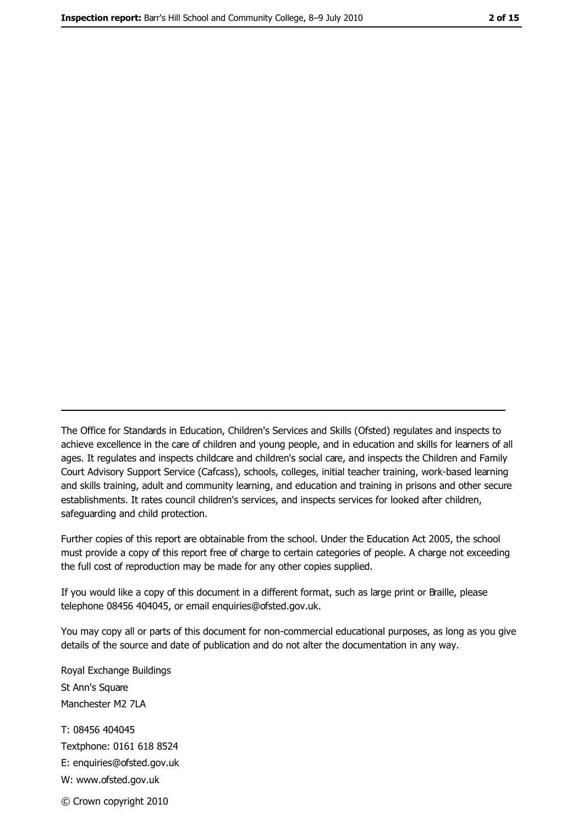The Office for Standards in Education, Children's Services and Skills (Ofsted) regulates and inspects to achieve excellence in the care of children and young people, and in education and skills for learners of all ages. It regulates and inspects childcare and children's social care, and inspects the Children and Family Court Advisory Support Service (Cafcass), schools, colleges, initial teacher training, work-based learning and skills training, adult and community learning, and education and training in prisons and other secure establishments. It rates council children's services, and inspects services for looked after children, safequarding and child protection.

Further copies of this report are obtainable from the school. Under the Education Act 2005, the school must provide a copy of this report free of charge to certain categories of people. A charge not exceeding the full cost of reproduction may be made for any other copies supplied.

If you would like a copy of this document in a different format, such as large print or Braille, please telephone 08456 404045, or email enquiries@ofsted.gov.uk.

You may copy all or parts of this document for non-commercial educational purposes, as long as you give details of the source and date of publication and do not alter the documentation in any way.

Royal Exchange Buildings St Ann's Square Manchester M2 7LA T: 08456 404045 Textphone: 0161 618 8524 E: enquiries@ofsted.gov.uk W: www.ofsted.gov.uk © Crown copyright 2010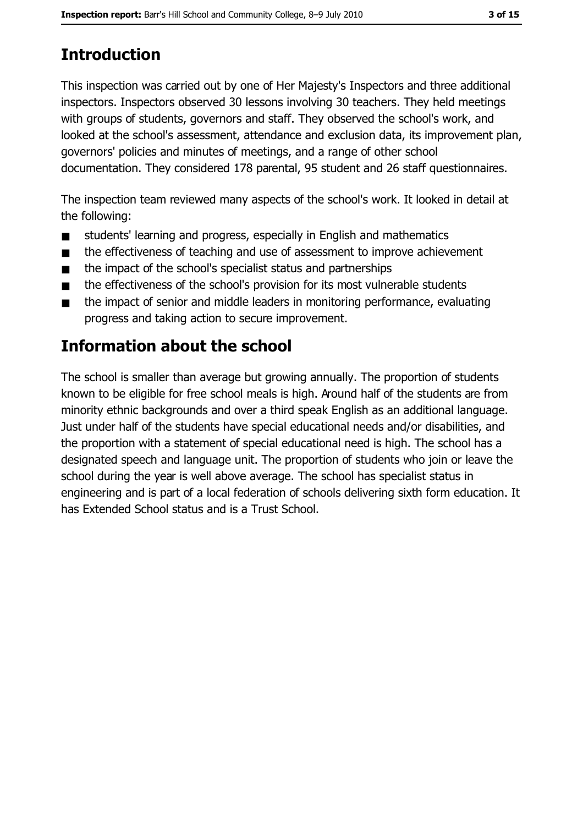# **Introduction**

This inspection was carried out by one of Her Majesty's Inspectors and three additional inspectors. Inspectors observed 30 lessons involving 30 teachers. They held meetings with groups of students, governors and staff. They observed the school's work, and looked at the school's assessment, attendance and exclusion data, its improvement plan, governors' policies and minutes of meetings, and a range of other school documentation. They considered 178 parental, 95 student and 26 staff questionnaires.

The inspection team reviewed many aspects of the school's work. It looked in detail at the following:

- students' learning and progress, especially in English and mathematics  $\blacksquare$
- the effectiveness of teaching and use of assessment to improve achievement  $\blacksquare$
- the impact of the school's specialist status and partnerships  $\blacksquare$
- the effectiveness of the school's provision for its most vulnerable students  $\blacksquare$
- the impact of senior and middle leaders in monitoring performance, evaluating  $\blacksquare$ progress and taking action to secure improvement.

# **Information about the school**

The school is smaller than average but growing annually. The proportion of students known to be eligible for free school meals is high. Around half of the students are from minority ethnic backgrounds and over a third speak English as an additional language. Just under half of the students have special educational needs and/or disabilities, and the proportion with a statement of special educational need is high. The school has a designated speech and language unit. The proportion of students who join or leave the school during the year is well above average. The school has specialist status in engineering and is part of a local federation of schools delivering sixth form education. It has Extended School status and is a Trust School.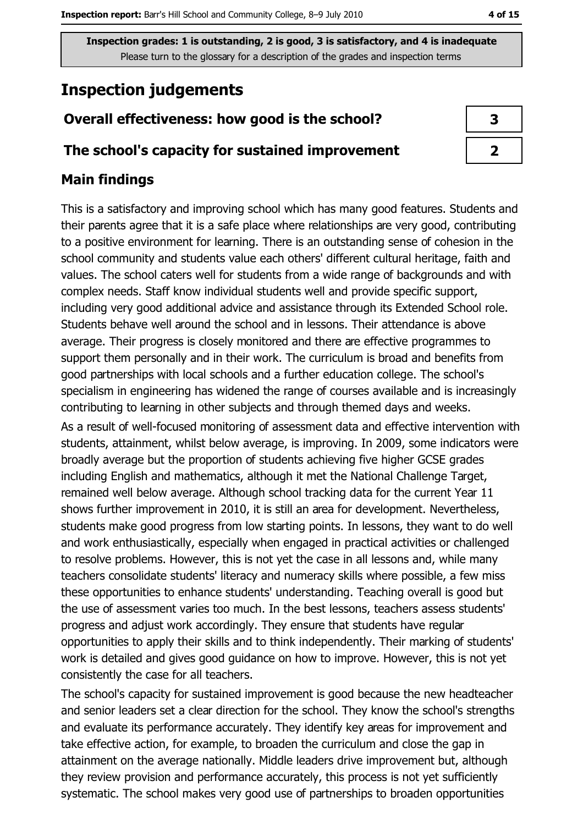# **Inspection judgements**

# Overall effectiveness: how good is the school?

## The school's capacity for sustained improvement

# **Main findings**

This is a satisfactory and improving school which has many good features. Students and their parents agree that it is a safe place where relationships are very good, contributing to a positive environment for learning. There is an outstanding sense of cohesion in the school community and students value each others' different cultural heritage, faith and values. The school caters well for students from a wide range of backgrounds and with complex needs. Staff know individual students well and provide specific support, including very good additional advice and assistance through its Extended School role. Students behave well around the school and in lessons. Their attendance is above average. Their progress is closely monitored and there are effective programmes to support them personally and in their work. The curriculum is broad and benefits from good partnerships with local schools and a further education college. The school's specialism in engineering has widened the range of courses available and is increasingly contributing to learning in other subjects and through themed days and weeks.

As a result of well-focused monitoring of assessment data and effective intervention with students, attainment, whilst below average, is improving. In 2009, some indicators were broadly average but the proportion of students achieving five higher GCSE grades including English and mathematics, although it met the National Challenge Target, remained well below average. Although school tracking data for the current Year 11 shows further improvement in 2010, it is still an area for development. Nevertheless, students make good progress from low starting points. In lessons, they want to do well and work enthusiastically, especially when engaged in practical activities or challenged to resolve problems. However, this is not yet the case in all lessons and, while many teachers consolidate students' literacy and numeracy skills where possible, a few miss these opportunities to enhance students' understanding. Teaching overall is good but the use of assessment varies too much. In the best lessons, teachers assess students' progress and adjust work accordingly. They ensure that students have regular opportunities to apply their skills and to think independently. Their marking of students' work is detailed and gives good guidance on how to improve. However, this is not yet consistently the case for all teachers.

The school's capacity for sustained improvement is good because the new headteacher and senior leaders set a clear direction for the school. They know the school's strengths and evaluate its performance accurately. They identify key areas for improvement and take effective action, for example, to broaden the curriculum and close the gap in attainment on the average nationally. Middle leaders drive improvement but, although they review provision and performance accurately, this process is not yet sufficiently systematic. The school makes very good use of partnerships to broaden opportunities

| 3 |  |
|---|--|
| フ |  |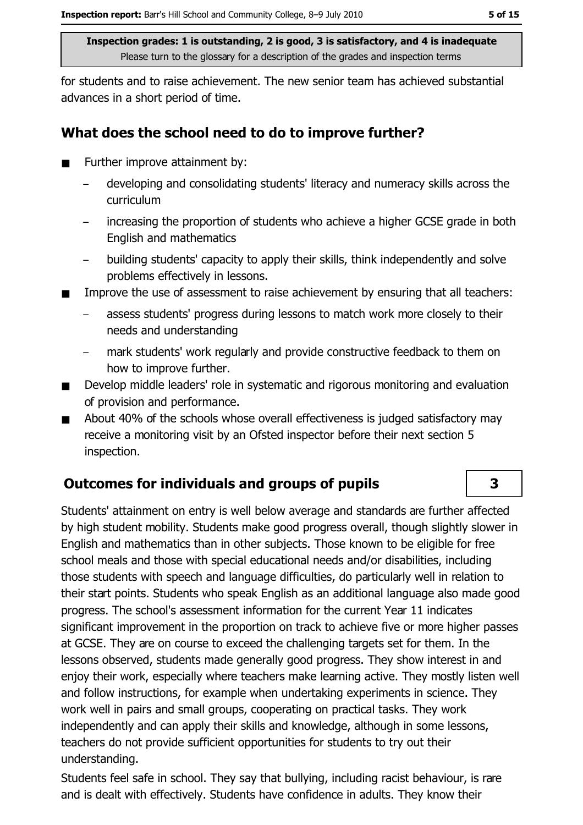for students and to raise achievement. The new senior team has achieved substantial advances in a short period of time.

## What does the school need to do to improve further?

- Further improve attainment by:  $\blacksquare$ 
	- developing and consolidating students' literacy and numeracy skills across the curriculum
	- increasing the proportion of students who achieve a higher GCSE grade in both English and mathematics
	- building students' capacity to apply their skills, think independently and solve  $\equiv$ problems effectively in lessons.
- Improve the use of assessment to raise achievement by ensuring that all teachers:  $\blacksquare$ 
	- assess students' progress during lessons to match work more closely to their needs and understanding
	- mark students' work regularly and provide constructive feedback to them on how to improve further.
- Develop middle leaders' role in systematic and rigorous monitoring and evaluation  $\blacksquare$ of provision and performance.
- About 40% of the schools whose overall effectiveness is judged satisfactory may  $\blacksquare$ receive a monitoring visit by an Ofsted inspector before their next section 5 inspection.

# **Outcomes for individuals and groups of pupils**

Students' attainment on entry is well below average and standards are further affected by high student mobility. Students make good progress overall, though slightly slower in English and mathematics than in other subjects. Those known to be eligible for free school meals and those with special educational needs and/or disabilities, including those students with speech and language difficulties, do particularly well in relation to their start points. Students who speak English as an additional language also made good progress. The school's assessment information for the current Year 11 indicates significant improvement in the proportion on track to achieve five or more higher passes at GCSE. They are on course to exceed the challenging targets set for them. In the lessons observed, students made generally good progress. They show interest in and enjoy their work, especially where teachers make learning active. They mostly listen well and follow instructions, for example when undertaking experiments in science. They work well in pairs and small groups, cooperating on practical tasks. They work independently and can apply their skills and knowledge, although in some lessons, teachers do not provide sufficient opportunities for students to try out their understanding.

Students feel safe in school. They say that bullying, including racist behaviour, is rare and is dealt with effectively. Students have confidence in adults. They know their

 $\overline{\mathbf{3}}$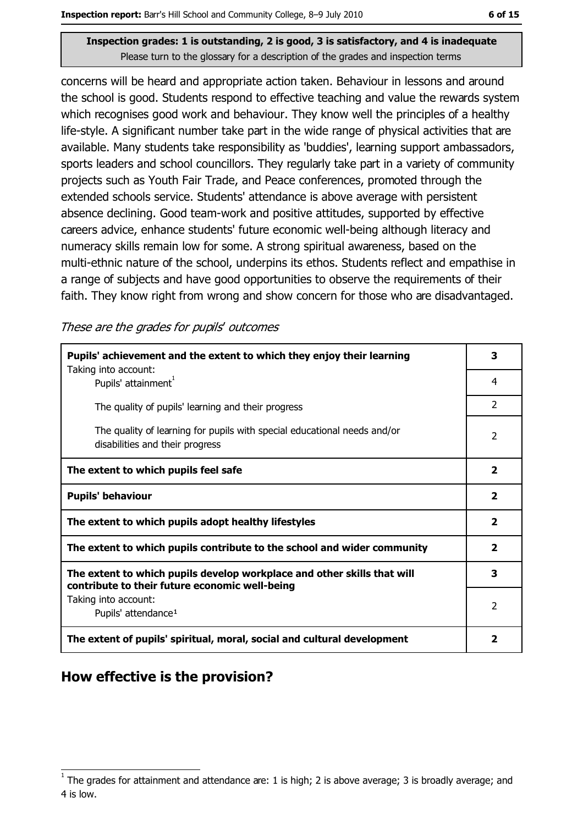concerns will be heard and appropriate action taken. Behaviour in lessons and around the school is good. Students respond to effective teaching and value the rewards system which recognises good work and behaviour. They know well the principles of a healthy life-style. A significant number take part in the wide range of physical activities that are available. Many students take responsibility as 'buddies', learning support ambassadors, sports leaders and school councillors. They regularly take part in a variety of community projects such as Youth Fair Trade, and Peace conferences, promoted through the extended schools service. Students' attendance is above average with persistent absence declining. Good team-work and positive attitudes, supported by effective careers advice, enhance students' future economic well-being although literacy and numeracy skills remain low for some. A strong spiritual awareness, based on the multi-ethnic nature of the school, underpins its ethos. Students reflect and empathise in a range of subjects and have good opportunities to observe the requirements of their faith. They know right from wrong and show concern for those who are disadvantaged.

These are the grades for pupils' outcomes

| Pupils' achievement and the extent to which they enjoy their learning                                                     |                         |  |
|---------------------------------------------------------------------------------------------------------------------------|-------------------------|--|
| Taking into account:<br>Pupils' attainment <sup>1</sup>                                                                   | 4                       |  |
| The quality of pupils' learning and their progress                                                                        | $\overline{2}$          |  |
| The quality of learning for pupils with special educational needs and/or<br>disabilities and their progress               | $\mathcal{P}$           |  |
| The extent to which pupils feel safe                                                                                      | $\overline{\mathbf{2}}$ |  |
| <b>Pupils' behaviour</b>                                                                                                  | $\overline{\mathbf{2}}$ |  |
| The extent to which pupils adopt healthy lifestyles                                                                       | $\overline{\mathbf{2}}$ |  |
| The extent to which pupils contribute to the school and wider community                                                   |                         |  |
| The extent to which pupils develop workplace and other skills that will<br>contribute to their future economic well-being |                         |  |
| Taking into account:<br>Pupils' attendance <sup>1</sup>                                                                   | $\overline{2}$          |  |
| The extent of pupils' spiritual, moral, social and cultural development                                                   | 2                       |  |

# How effective is the provision?

The grades for attainment and attendance are: 1 is high; 2 is above average; 3 is broadly average; and 4 is low.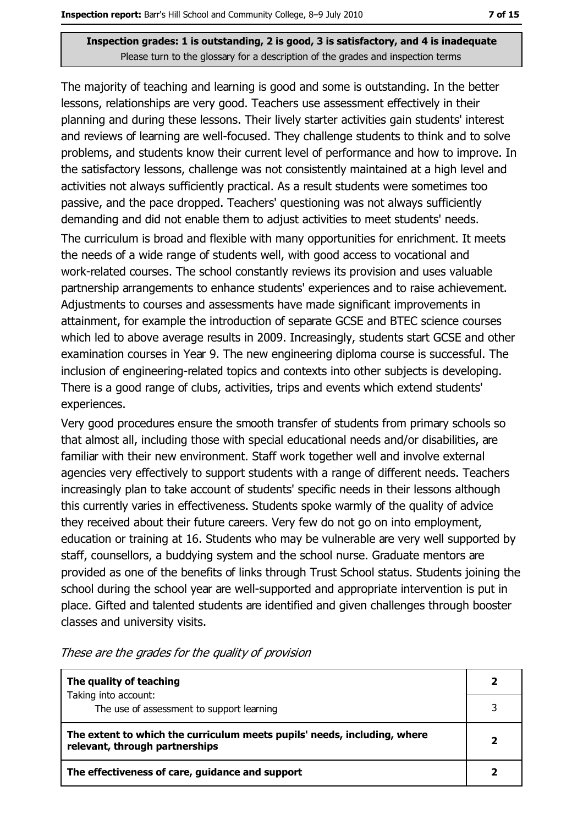The majority of teaching and learning is good and some is outstanding. In the better lessons, relationships are very good. Teachers use assessment effectively in their planning and during these lessons. Their lively starter activities gain students' interest and reviews of learning are well-focused. They challenge students to think and to solve problems, and students know their current level of performance and how to improve. In the satisfactory lessons, challenge was not consistently maintained at a high level and activities not always sufficiently practical. As a result students were sometimes too passive, and the pace dropped. Teachers' questioning was not always sufficiently demanding and did not enable them to adjust activities to meet students' needs.

The curriculum is broad and flexible with many opportunities for enrichment. It meets the needs of a wide range of students well, with good access to vocational and work-related courses. The school constantly reviews its provision and uses valuable partnership arrangements to enhance students' experiences and to raise achievement. Adiustments to courses and assessments have made significant improvements in attainment, for example the introduction of separate GCSE and BTEC science courses which led to above average results in 2009. Increasingly, students start GCSE and other examination courses in Year 9. The new engineering diploma course is successful. The inclusion of engineering-related topics and contexts into other subjects is developing. There is a good range of clubs, activities, trips and events which extend students' experiences.

Very good procedures ensure the smooth transfer of students from primary schools so that almost all, including those with special educational needs and/or disabilities, are familiar with their new environment. Staff work together well and involve external agencies very effectively to support students with a range of different needs. Teachers increasingly plan to take account of students' specific needs in their lessons although this currently varies in effectiveness. Students spoke warmly of the quality of advice they received about their future careers. Very few do not go on into employment, education or training at 16. Students who may be vulnerable are very well supported by staff, counsellors, a buddying system and the school nurse. Graduate mentors are provided as one of the benefits of links through Trust School status. Students joining the school during the school year are well-supported and appropriate intervention is put in place. Gifted and talented students are identified and given challenges through booster classes and university visits.

| The quality of teaching                                                                                    |   |
|------------------------------------------------------------------------------------------------------------|---|
| Taking into account:<br>The use of assessment to support learning                                          |   |
| The extent to which the curriculum meets pupils' needs, including, where<br>relevant, through partnerships | 2 |
| The effectiveness of care, guidance and support                                                            |   |

These are the grades for the quality of provision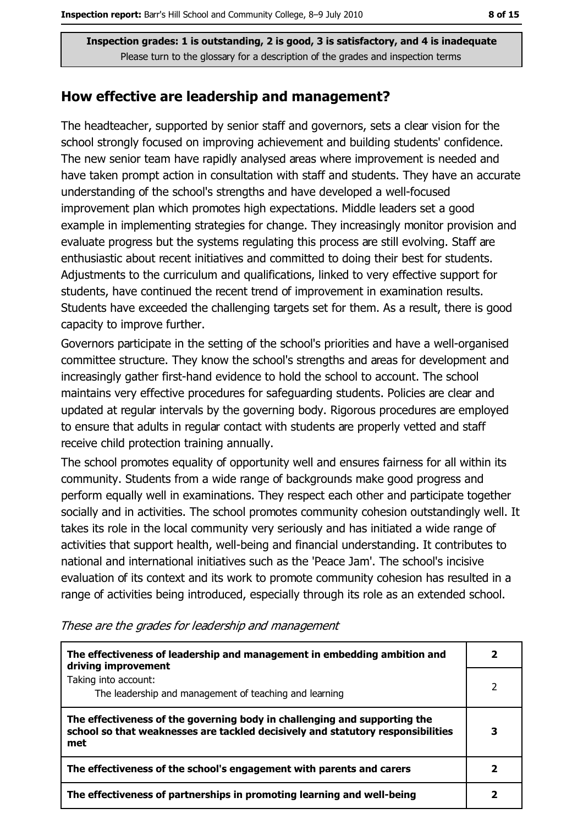## How effective are leadership and management?

The headteacher, supported by senior staff and governors, sets a clear vision for the school strongly focused on improving achievement and building students' confidence. The new senior team have rapidly analysed areas where improvement is needed and have taken prompt action in consultation with staff and students. They have an accurate understanding of the school's strengths and have developed a well-focused improvement plan which promotes high expectations. Middle leaders set a good example in implementing strategies for change. They increasingly monitor provision and evaluate progress but the systems regulating this process are still evolving. Staff are enthusiastic about recent initiatives and committed to doing their best for students. Adjustments to the curriculum and qualifications, linked to very effective support for students, have continued the recent trend of improvement in examination results. Students have exceeded the challenging targets set for them. As a result, there is good capacity to improve further.

Governors participate in the setting of the school's priorities and have a well-organised committee structure. They know the school's strengths and areas for development and increasingly gather first-hand evidence to hold the school to account. The school maintains very effective procedures for safeguarding students. Policies are clear and updated at regular intervals by the governing body. Rigorous procedures are employed to ensure that adults in regular contact with students are properly vetted and staff receive child protection training annually.

The school promotes equality of opportunity well and ensures fairness for all within its community. Students from a wide range of backgrounds make good progress and perform equally well in examinations. They respect each other and participate together socially and in activities. The school promotes community cohesion outstandingly well. It takes its role in the local community very seriously and has initiated a wide range of activities that support health, well-being and financial understanding. It contributes to national and international initiatives such as the 'Peace Jam'. The school's incisive evaluation of its context and its work to promote community cohesion has resulted in a range of activities being introduced, especially through its role as an extended school.

| The effectiveness of leadership and management in embedding ambition and<br>driving improvement                                                                     |   |  |
|---------------------------------------------------------------------------------------------------------------------------------------------------------------------|---|--|
| Taking into account:<br>The leadership and management of teaching and learning                                                                                      |   |  |
| The effectiveness of the governing body in challenging and supporting the<br>school so that weaknesses are tackled decisively and statutory responsibilities<br>met | 3 |  |
| The effectiveness of the school's engagement with parents and carers                                                                                                |   |  |
| The effectiveness of partnerships in promoting learning and well-being                                                                                              |   |  |

These are the grades for leadership and management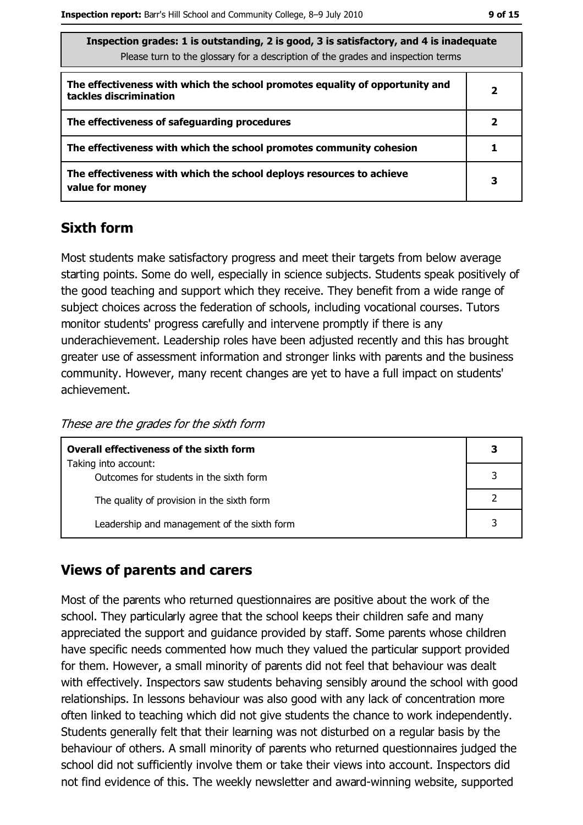| Inspection grades: 1 is outstanding, 2 is good, 3 is satisfactory, and 4 is inadequate |
|----------------------------------------------------------------------------------------|
| Please turn to the glossary for a description of the grades and inspection terms       |

| The effectiveness with which the school promotes equality of opportunity and<br>tackles discrimination | 2 |
|--------------------------------------------------------------------------------------------------------|---|
| The effectiveness of safeguarding procedures                                                           | 2 |
| The effectiveness with which the school promotes community cohesion                                    |   |
| The effectiveness with which the school deploys resources to achieve<br>value for money                | З |

## **Sixth form**

Most students make satisfactory progress and meet their targets from below average starting points. Some do well, especially in science subjects. Students speak positively of the good teaching and support which they receive. They benefit from a wide range of subject choices across the federation of schools, including vocational courses. Tutors monitor students' progress carefully and intervene promptly if there is any underachievement. Leadership roles have been adjusted recently and this has brought greater use of assessment information and stronger links with parents and the business community. However, many recent changes are yet to have a full impact on students' achievement.

These are the grades for the sixth form

| <b>Overall effectiveness of the sixth form</b>                  |  |
|-----------------------------------------------------------------|--|
| Taking into account:<br>Outcomes for students in the sixth form |  |
| The quality of provision in the sixth form                      |  |
| Leadership and management of the sixth form                     |  |

## **Views of parents and carers**

Most of the parents who returned questionnaires are positive about the work of the school. They particularly agree that the school keeps their children safe and many appreciated the support and quidance provided by staff. Some parents whose children have specific needs commented how much they valued the particular support provided for them. However, a small minority of parents did not feel that behaviour was dealt with effectively. Inspectors saw students behaving sensibly around the school with good relationships. In lessons behaviour was also good with any lack of concentration more often linked to teaching which did not give students the chance to work independently. Students generally felt that their learning was not disturbed on a regular basis by the behaviour of others. A small minority of parents who returned questionnaires judged the school did not sufficiently involve them or take their views into account. Inspectors did not find evidence of this. The weekly newsletter and award-winning website, supported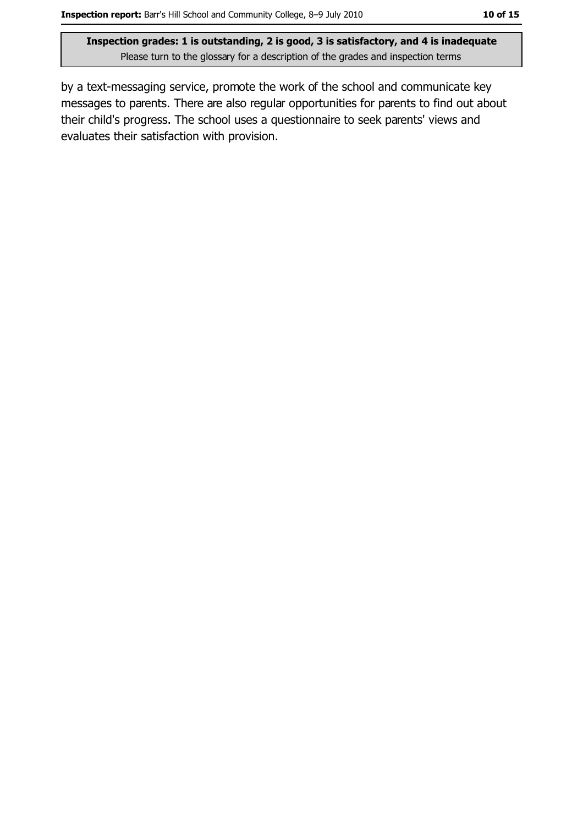by a text-messaging service, promote the work of the school and communicate key messages to parents. There are also regular opportunities for parents to find out about their child's progress. The school uses a questionnaire to seek parents' views and evaluates their satisfaction with provision.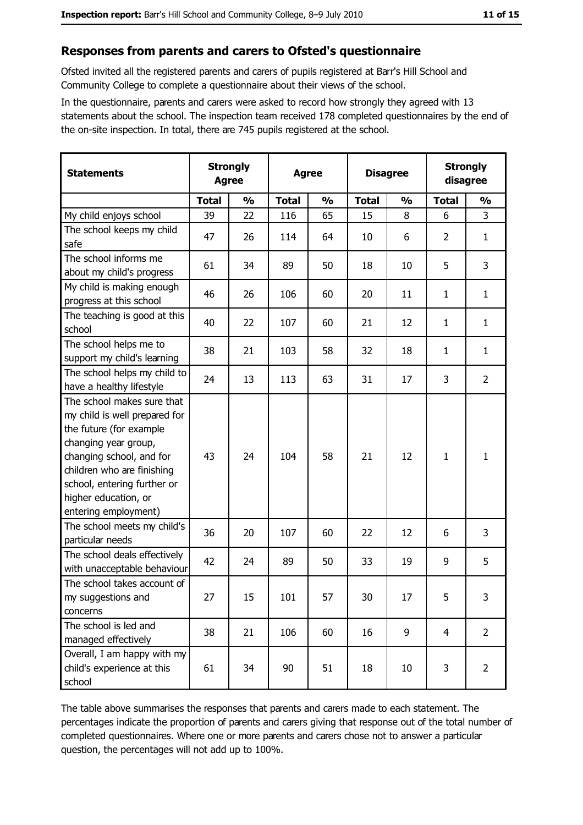#### Responses from parents and carers to Ofsted's questionnaire

Ofsted invited all the registered parents and carers of pupils registered at Barr's Hill School and Community College to complete a questionnaire about their views of the school.

In the questionnaire, parents and carers were asked to record how strongly they agreed with 13 statements about the school. The inspection team received 178 completed questionnaires by the end of the on-site inspection. In total, there are 745 pupils registered at the school.

| <b>Statements</b>                                                                                                                                                                                                                                       | <b>Strongly</b><br><b>Agree</b> |               | <b>Agree</b> |               |              | <b>Disagree</b> |                | <b>Strongly</b><br>disagree |
|---------------------------------------------------------------------------------------------------------------------------------------------------------------------------------------------------------------------------------------------------------|---------------------------------|---------------|--------------|---------------|--------------|-----------------|----------------|-----------------------------|
|                                                                                                                                                                                                                                                         | <b>Total</b>                    | $\frac{0}{0}$ | <b>Total</b> | $\frac{0}{0}$ | <b>Total</b> | $\frac{0}{0}$   | <b>Total</b>   | $\frac{0}{0}$               |
| My child enjoys school                                                                                                                                                                                                                                  | 39                              | 22            | 116          | 65            | 15           | 8               | 6              | 3                           |
| The school keeps my child<br>safe                                                                                                                                                                                                                       | 47                              | 26            | 114          | 64            | 10           | 6               | $\overline{2}$ | $\mathbf{1}$                |
| The school informs me<br>about my child's progress                                                                                                                                                                                                      | 61                              | 34            | 89           | 50            | 18           | 10              | 5              | 3                           |
| My child is making enough<br>progress at this school                                                                                                                                                                                                    | 46                              | 26            | 106          | 60            | 20           | 11              | 1              | $\mathbf{1}$                |
| The teaching is good at this<br>school                                                                                                                                                                                                                  | 40                              | 22            | 107          | 60            | 21           | 12              | 1              | $\mathbf{1}$                |
| The school helps me to<br>support my child's learning                                                                                                                                                                                                   | 38                              | 21            | 103          | 58            | 32           | 18              | $\mathbf{1}$   | $\mathbf{1}$                |
| The school helps my child to<br>have a healthy lifestyle                                                                                                                                                                                                | 24                              | 13            | 113          | 63            | 31           | 17              | 3              | $\overline{2}$              |
| The school makes sure that<br>my child is well prepared for<br>the future (for example<br>changing year group,<br>changing school, and for<br>children who are finishing<br>school, entering further or<br>higher education, or<br>entering employment) | 43                              | 24            | 104          | 58            | 21           | 12              | $\mathbf{1}$   | $\mathbf{1}$                |
| The school meets my child's<br>particular needs                                                                                                                                                                                                         | 36                              | 20            | 107          | 60            | 22           | 12              | 6              | 3                           |
| The school deals effectively<br>with unacceptable behaviour                                                                                                                                                                                             | 42                              | 24            | 89           | 50            | 33           | 19              | 9              | 5                           |
| The school takes account of<br>my suggestions and<br>concerns                                                                                                                                                                                           | 27                              | 15            | 101          | 57            | 30           | 17              | 5              | 3                           |
| The school is led and<br>managed effectively                                                                                                                                                                                                            | 38                              | 21            | 106          | 60            | 16           | 9               | $\overline{4}$ | $\overline{2}$              |
| Overall, I am happy with my<br>child's experience at this<br>school                                                                                                                                                                                     | 61                              | 34            | 90           | 51            | 18           | 10              | 3              | $\overline{2}$              |

The table above summarises the responses that parents and carers made to each statement. The percentages indicate the proportion of parents and carers giving that response out of the total number of completed questionnaires. Where one or more parents and carers chose not to answer a particular question, the percentages will not add up to 100%.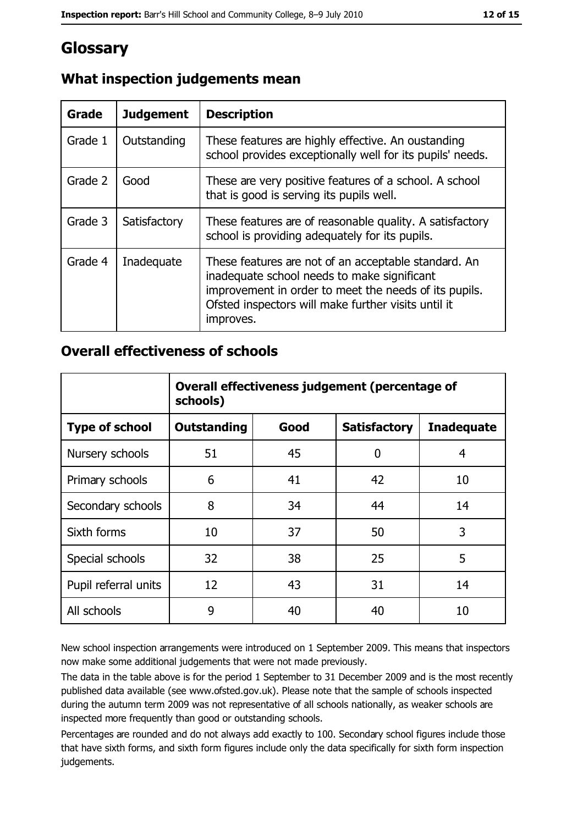# Glossary

| Grade   | <b>Judgement</b> | <b>Description</b>                                                                                                                                                                                                               |
|---------|------------------|----------------------------------------------------------------------------------------------------------------------------------------------------------------------------------------------------------------------------------|
| Grade 1 | Outstanding      | These features are highly effective. An oustanding<br>school provides exceptionally well for its pupils' needs.                                                                                                                  |
| Grade 2 | Good             | These are very positive features of a school. A school<br>that is good is serving its pupils well.                                                                                                                               |
| Grade 3 | Satisfactory     | These features are of reasonable quality. A satisfactory<br>school is providing adequately for its pupils.                                                                                                                       |
| Grade 4 | Inadequate       | These features are not of an acceptable standard. An<br>inadequate school needs to make significant<br>improvement in order to meet the needs of its pupils.<br>Ofsted inspectors will make further visits until it<br>improves. |

# What inspection judgements mean

## **Overall effectiveness of schools**

|                       | Overall effectiveness judgement (percentage of<br>schools) |      |                     |                   |
|-----------------------|------------------------------------------------------------|------|---------------------|-------------------|
| <b>Type of school</b> | <b>Outstanding</b>                                         | Good | <b>Satisfactory</b> | <b>Inadequate</b> |
| Nursery schools       | 51                                                         | 45   | 0                   | 4                 |
| Primary schools       | 6                                                          | 41   | 42                  | 10                |
| Secondary schools     | 8                                                          | 34   | 44                  | 14                |
| Sixth forms           | 10                                                         | 37   | 50                  | 3                 |
| Special schools       | 32                                                         | 38   | 25                  | 5                 |
| Pupil referral units  | 12                                                         | 43   | 31                  | 14                |
| All schools           | 9                                                          | 40   | 40                  | 10                |

New school inspection arrangements were introduced on 1 September 2009. This means that inspectors now make some additional judgements that were not made previously.

The data in the table above is for the period 1 September to 31 December 2009 and is the most recently published data available (see www.ofsted.gov.uk). Please note that the sample of schools inspected during the autumn term 2009 was not representative of all schools nationally, as weaker schools are inspected more frequently than good or outstanding schools.

Percentages are rounded and do not always add exactly to 100. Secondary school figures include those that have sixth forms, and sixth form figures include only the data specifically for sixth form inspection judgements.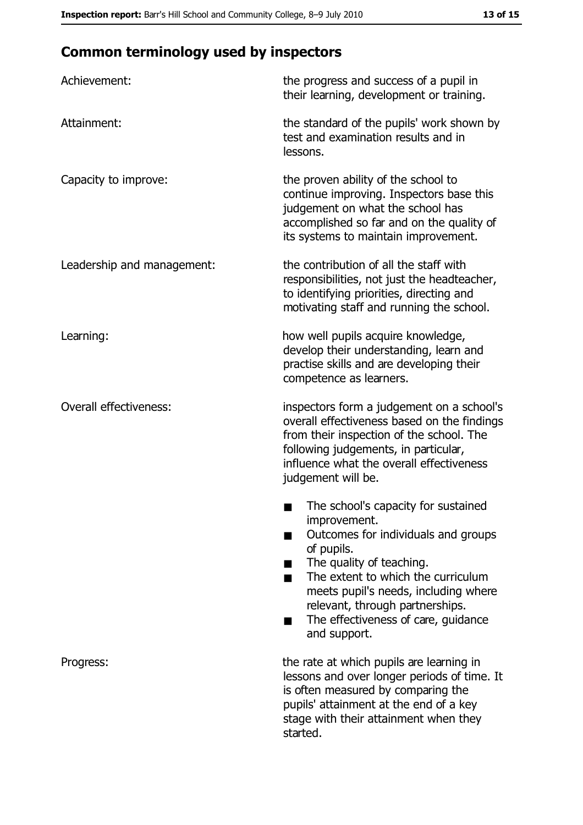# **Common terminology used by inspectors**

| Achievement:                  | the progress and success of a pupil in<br>their learning, development or training.                                                                                                                                                                                                                           |  |  |
|-------------------------------|--------------------------------------------------------------------------------------------------------------------------------------------------------------------------------------------------------------------------------------------------------------------------------------------------------------|--|--|
| Attainment:                   | the standard of the pupils' work shown by<br>test and examination results and in<br>lessons.                                                                                                                                                                                                                 |  |  |
| Capacity to improve:          | the proven ability of the school to<br>continue improving. Inspectors base this<br>judgement on what the school has<br>accomplished so far and on the quality of<br>its systems to maintain improvement.                                                                                                     |  |  |
| Leadership and management:    | the contribution of all the staff with<br>responsibilities, not just the headteacher,<br>to identifying priorities, directing and<br>motivating staff and running the school.                                                                                                                                |  |  |
| Learning:                     | how well pupils acquire knowledge,<br>develop their understanding, learn and<br>practise skills and are developing their<br>competence as learners.                                                                                                                                                          |  |  |
| <b>Overall effectiveness:</b> | inspectors form a judgement on a school's<br>overall effectiveness based on the findings<br>from their inspection of the school. The<br>following judgements, in particular,<br>influence what the overall effectiveness<br>judgement will be.                                                               |  |  |
|                               | The school's capacity for sustained<br>improvement.<br>Outcomes for individuals and groups<br>of pupils.<br>The quality of teaching.<br>The extent to which the curriculum<br>meets pupil's needs, including where<br>relevant, through partnerships.<br>The effectiveness of care, guidance<br>and support. |  |  |
| Progress:                     | the rate at which pupils are learning in<br>lessons and over longer periods of time. It<br>is often measured by comparing the<br>pupils' attainment at the end of a key<br>stage with their attainment when they<br>started.                                                                                 |  |  |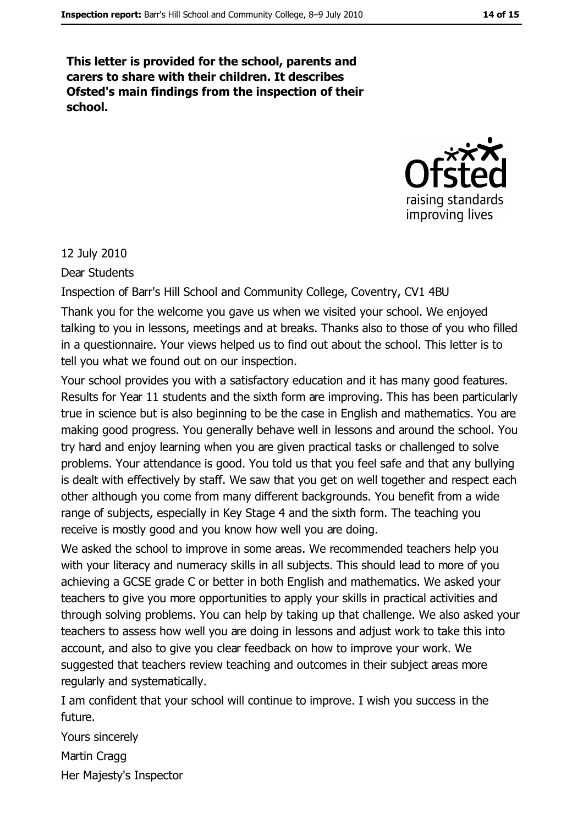This letter is provided for the school, parents and carers to share with their children. It describes Ofsted's main findings from the inspection of their school.



#### 12 July 2010

Dear Students

Inspection of Barr's Hill School and Community College, Coventry, CV1 4BU

Thank you for the welcome you gave us when we visited your school. We enjoyed talking to you in lessons, meetings and at breaks. Thanks also to those of you who filled in a questionnaire. Your views helped us to find out about the school. This letter is to tell you what we found out on our inspection.

Your school provides you with a satisfactory education and it has many good features. Results for Year 11 students and the sixth form are improving. This has been particularly true in science but is also beginning to be the case in English and mathematics. You are making good progress. You generally behave well in lessons and around the school. You try hard and enjoy learning when you are given practical tasks or challenged to solve problems. Your attendance is good. You told us that you feel safe and that any bullying is dealt with effectively by staff. We saw that you get on well together and respect each other although you come from many different backgrounds. You benefit from a wide range of subjects, especially in Key Stage 4 and the sixth form. The teaching you receive is mostly good and you know how well you are doing.

We asked the school to improve in some areas. We recommended teachers help you with your literacy and numeracy skills in all subjects. This should lead to more of you achieving a GCSE grade C or better in both English and mathematics. We asked your teachers to give you more opportunities to apply your skills in practical activities and through solving problems. You can help by taking up that challenge. We also asked your teachers to assess how well you are doing in lessons and adjust work to take this into account, and also to give you clear feedback on how to improve your work. We suggested that teachers review teaching and outcomes in their subject areas more regularly and systematically.

I am confident that your school will continue to improve. I wish you success in the future.

Yours sincerely Martin Cragg Her Majesty's Inspector